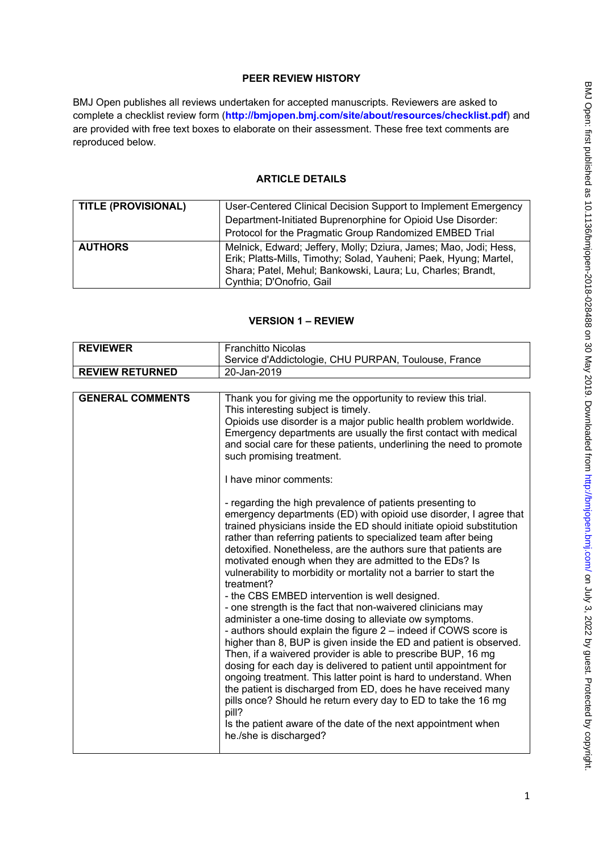# **PEER REVIEW HISTORY**

BMJ Open publishes all reviews undertaken for accepted manuscripts. Reviewers are asked to complete a checklist review form (**[http://bmjopen.bmj.com/site/about/resources/checklist.pdf\)](http://bmjopen.bmj.com/site/about/resources/checklist.pdf)** and are provided with free text boxes to elaborate on their assessment. These free text comments are reproduced below.

### **ARTICLE DETAILS**

| <b>TITLE (PROVISIONAL)</b> | User-Centered Clinical Decision Support to Implement Emergency                                                                                                                                                                   |
|----------------------------|----------------------------------------------------------------------------------------------------------------------------------------------------------------------------------------------------------------------------------|
|                            | Department-Initiated Buprenorphine for Opioid Use Disorder:                                                                                                                                                                      |
|                            | Protocol for the Pragmatic Group Randomized EMBED Trial                                                                                                                                                                          |
| <b>AUTHORS</b>             | Melnick, Edward; Jeffery, Molly; Dziura, James; Mao, Jodi; Hess,<br>Erik; Platts-Mills, Timothy; Solad, Yauheni; Paek, Hyung; Martel,<br>Shara; Patel, Mehul; Bankowski, Laura; Lu, Charles; Brandt,<br>Cynthia; D'Onofrio, Gail |

# **VERSION 1 – REVIEW**

| <b>REVIEWER</b>         | <b>Franchitto Nicolas</b>                                                                                                                                                                                                                                                                                                                                                                                                                                                                                                                                                                                                                                                                                                                                                                                                                                                                                                                                                                                                                                                                                                                                                                                                                                                                                                                                                                                                                                                                                                                                                                                                                   |
|-------------------------|---------------------------------------------------------------------------------------------------------------------------------------------------------------------------------------------------------------------------------------------------------------------------------------------------------------------------------------------------------------------------------------------------------------------------------------------------------------------------------------------------------------------------------------------------------------------------------------------------------------------------------------------------------------------------------------------------------------------------------------------------------------------------------------------------------------------------------------------------------------------------------------------------------------------------------------------------------------------------------------------------------------------------------------------------------------------------------------------------------------------------------------------------------------------------------------------------------------------------------------------------------------------------------------------------------------------------------------------------------------------------------------------------------------------------------------------------------------------------------------------------------------------------------------------------------------------------------------------------------------------------------------------|
|                         | Service d'Addictologie, CHU PURPAN, Toulouse, France                                                                                                                                                                                                                                                                                                                                                                                                                                                                                                                                                                                                                                                                                                                                                                                                                                                                                                                                                                                                                                                                                                                                                                                                                                                                                                                                                                                                                                                                                                                                                                                        |
| <b>REVIEW RETURNED</b>  | 20-Jan-2019                                                                                                                                                                                                                                                                                                                                                                                                                                                                                                                                                                                                                                                                                                                                                                                                                                                                                                                                                                                                                                                                                                                                                                                                                                                                                                                                                                                                                                                                                                                                                                                                                                 |
|                         |                                                                                                                                                                                                                                                                                                                                                                                                                                                                                                                                                                                                                                                                                                                                                                                                                                                                                                                                                                                                                                                                                                                                                                                                                                                                                                                                                                                                                                                                                                                                                                                                                                             |
| <b>GENERAL COMMENTS</b> | Thank you for giving me the opportunity to review this trial.<br>This interesting subject is timely.<br>Opioids use disorder is a major public health problem worldwide.<br>Emergency departments are usually the first contact with medical<br>and social care for these patients, underlining the need to promote<br>such promising treatment.<br>I have minor comments:<br>- regarding the high prevalence of patients presenting to<br>emergency departments (ED) with opioid use disorder, I agree that<br>trained physicians inside the ED should initiate opioid substitution<br>rather than referring patients to specialized team after being<br>detoxified. Nonetheless, are the authors sure that patients are<br>motivated enough when they are admitted to the EDs? Is<br>vulnerability to morbidity or mortality not a barrier to start the<br>treatment?<br>- the CBS EMBED intervention is well designed.<br>- one strength is the fact that non-waivered clinicians may<br>administer a one-time dosing to alleviate ow symptoms.<br>- authors should explain the figure 2 - indeed if COWS score is<br>higher than 8, BUP is given inside the ED and patient is observed.<br>Then, if a waivered provider is able to prescribe BUP, 16 mg<br>dosing for each day is delivered to patient until appointment for<br>ongoing treatment. This latter point is hard to understand. When<br>the patient is discharged from ED, does he have received many<br>pills once? Should he return every day to ED to take the 16 mg<br>pill?<br>Is the patient aware of the date of the next appointment when<br>he./she is discharged? |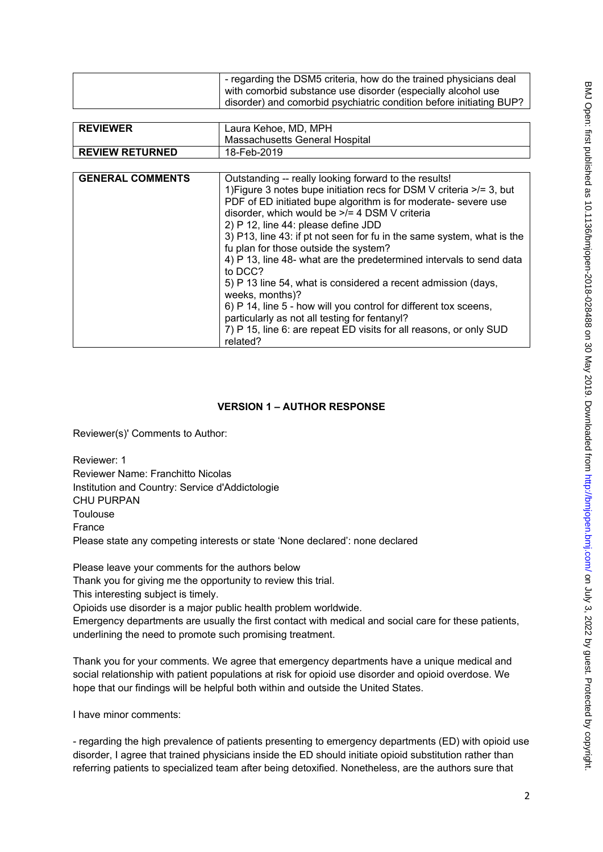| - regarding the DSM5 criteria, how do the trained physicians deal   |
|---------------------------------------------------------------------|
| with comorbid substance use disorder (especially alcohol use        |
| disorder) and comorbid psychiatric condition before initiating BUP? |

| <b>REVIEWER</b>         | Laura Kehoe, MD, MPH                                                      |
|-------------------------|---------------------------------------------------------------------------|
|                         | Massachusetts General Hospital                                            |
| <b>REVIEW RETURNED</b>  | 18-Feb-2019                                                               |
|                         |                                                                           |
| <b>GENERAL COMMENTS</b> | Outstanding -- really looking forward to the results!                     |
|                         | 1) Figure 3 notes bupe initiation recs for DSM V criteria $\ge$ /= 3, but |
|                         | PDF of ED initiated bupe algorithm is for moderate- severe use            |
|                         | disorder, which would be >/= 4 DSM V criteria                             |
|                         | 2) P 12, line 44: please define JDD                                       |
|                         | 3) P13, line 43: if pt not seen for fu in the same system, what is the    |
|                         | fu plan for those outside the system?                                     |
|                         | 4) P 13, line 48- what are the predetermined intervals to send data       |
|                         | to DCC?                                                                   |
|                         | 5) P 13 line 54, what is considered a recent admission (days,             |
|                         | weeks, months)?                                                           |
|                         | 6) P 14, line 5 - how will you control for different tox sceens,          |
|                         | particularly as not all testing for fentanyl?                             |
|                         | 7) P 15, line 6: are repeat ED visits for all reasons, or only SUD        |

#### **VERSION 1 – AUTHOR RESPONSE**

Reviewer(s)' Comments to Author:

Reviewer: 1 Reviewer Name: Franchitto Nicolas Institution and Country: Service d'Addictologie CHU PURPAN Toulouse France Please state any competing interests or state 'None declared': none declared

related?

Please leave your comments for the authors below

Thank you for giving me the opportunity to review this trial.

This interesting subject is timely.

Opioids use disorder is a major public health problem worldwide.

Emergency departments are usually the first contact with medical and social care for these patients, underlining the need to promote such promising treatment.

Thank you for your comments. We agree that emergency departments have a unique medical and social relationship with patient populations at risk for opioid use disorder and opioid overdose. We hope that our findings will be helpful both within and outside the United States.

I have minor comments:

- regarding the high prevalence of patients presenting to emergency departments (ED) with opioid use disorder, I agree that trained physicians inside the ED should initiate opioid substitution rather than referring patients to specialized team after being detoxified. Nonetheless, are the authors sure that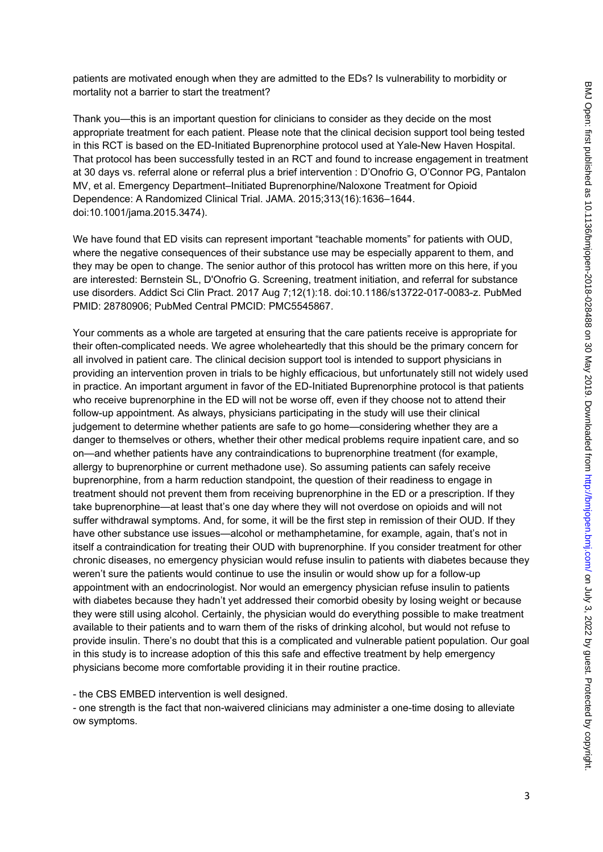patients are motivated enough when they are admitted to the EDs? Is vulnerability to morbidity or mortality not a barrier to start the treatment?

Thank you—this is an important question for clinicians to consider as they decide on the most appropriate treatment for each patient. Please note that the clinical decision support tool being tested in this RCT is based on the ED-Initiated Buprenorphine protocol used at Yale-New Haven Hospital. That protocol has been successfully tested in an RCT and found to increase engagement in treatment at 30 days vs. referral alone or referral plus a brief intervention : D'Onofrio G, O'Connor PG, Pantalon MV, et al. Emergency Department–Initiated Buprenorphine/Naloxone Treatment for Opioid Dependence: A Randomized Clinical Trial. JAMA. 2015;313(16):1636–1644. doi:10.1001/jama.2015.3474).

We have found that ED visits can represent important "teachable moments" for patients with OUD, where the negative consequences of their substance use may be especially apparent to them, and they may be open to change. The senior author of this protocol has written more on this here, if you are interested: Bernstein SL, D'Onofrio G. Screening, treatment initiation, and referral for substance use disorders. Addict Sci Clin Pract. 2017 Aug 7;12(1):18. doi:10.1186/s13722-017-0083-z. PubMed PMID: 28780906; PubMed Central PMCID: PMC5545867.

Your comments as a whole are targeted at ensuring that the care patients receive is appropriate for their often-complicated needs. We agree wholeheartedly that this should be the primary concern for all involved in patient care. The clinical decision support tool is intended to support physicians in providing an intervention proven in trials to be highly efficacious, but unfortunately still not widely used in practice. An important argument in favor of the ED-Initiated Buprenorphine protocol is that patients who receive buprenorphine in the ED will not be worse off, even if they choose not to attend their follow-up appointment. As always, physicians participating in the study will use their clinical judgement to determine whether patients are safe to go home—considering whether they are a danger to themselves or others, whether their other medical problems require inpatient care, and so on—and whether patients have any contraindications to buprenorphine treatment (for example, allergy to buprenorphine or current methadone use). So assuming patients can safely receive buprenorphine, from a harm reduction standpoint, the question of their readiness to engage in treatment should not prevent them from receiving buprenorphine in the ED or a prescription. If they take buprenorphine—at least that's one day where they will not overdose on opioids and will not suffer withdrawal symptoms. And, for some, it will be the first step in remission of their OUD. If they have other substance use issues—alcohol or methamphetamine, for example, again, that's not in itself a contraindication for treating their OUD with buprenorphine. If you consider treatment for other chronic diseases, no emergency physician would refuse insulin to patients with diabetes because they weren't sure the patients would continue to use the insulin or would show up for a follow-up appointment with an endocrinologist. Nor would an emergency physician refuse insulin to patients with diabetes because they hadn't yet addressed their comorbid obesity by losing weight or because they were still using alcohol. Certainly, the physician would do everything possible to make treatment available to their patients and to warn them of the risks of drinking alcohol, but would not refuse to provide insulin. There's no doubt that this is a complicated and vulnerable patient population. Our goal in this study is to increase adoption of this this safe and effective treatment by help emergency physicians become more comfortable providing it in their routine practice.

- the CBS EMBED intervention is well designed.

- one strength is the fact that non-waivered clinicians may administer a one-time dosing to alleviate ow symptoms.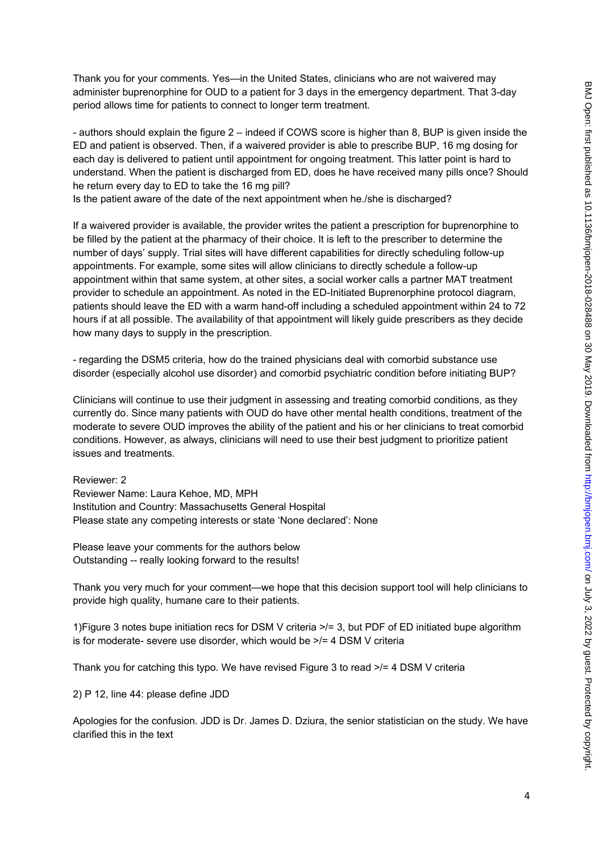Thank you for your comments. Yes—in the United States, clinicians who are not waivered may administer buprenorphine for OUD to a patient for 3 days in the emergency department. That 3-day period allows time for patients to connect to longer term treatment.

- authors should explain the figure 2 – indeed if COWS score is higher than 8, BUP is given inside the ED and patient is observed. Then, if a waivered provider is able to prescribe BUP, 16 mg dosing for each day is delivered to patient until appointment for ongoing treatment. This latter point is hard to understand. When the patient is discharged from ED, does he have received many pills once? Should he return every day to ED to take the 16 mg pill?

Is the patient aware of the date of the next appointment when he./she is discharged?

If a waivered provider is available, the provider writes the patient a prescription for buprenorphine to be filled by the patient at the pharmacy of their choice. It is left to the prescriber to determine the number of days' supply. Trial sites will have different capabilities for directly scheduling follow-up appointments. For example, some sites will allow clinicians to directly schedule a follow-up appointment within that same system, at other sites, a social worker calls a partner MAT treatment provider to schedule an appointment. As noted in the ED-Initiated Buprenorphine protocol diagram, patients should leave the ED with a warm hand-off including a scheduled appointment within 24 to 72 hours if at all possible. The availability of that appointment will likely guide prescribers as they decide how many days to supply in the prescription.

- regarding the DSM5 criteria, how do the trained physicians deal with comorbid substance use disorder (especially alcohol use disorder) and comorbid psychiatric condition before initiating BUP?

Clinicians will continue to use their judgment in assessing and treating comorbid conditions, as they currently do. Since many patients with OUD do have other mental health conditions, treatment of the moderate to severe OUD improves the ability of the patient and his or her clinicians to treat comorbid conditions. However, as always, clinicians will need to use their best judgment to prioritize patient issues and treatments.

Reviewer: 2 Reviewer Name: Laura Kehoe, MD, MPH Institution and Country: Massachusetts General Hospital Please state any competing interests or state 'None declared': None

Please leave your comments for the authors below Outstanding -- really looking forward to the results!

Thank you very much for your comment—we hope that this decision support tool will help clinicians to provide high quality, humane care to their patients.

1)Figure 3 notes bupe initiation recs for DSM V criteria >/= 3, but PDF of ED initiated bupe algorithm is for moderate- severe use disorder, which would be >/= 4 DSM V criteria

Thank you for catching this typo. We have revised Figure 3 to read >/= 4 DSM V criteria

2) P 12, line 44: please define JDD

Apologies for the confusion. JDD is Dr. James D. Dziura, the senior statistician on the study. We have clarified this in the text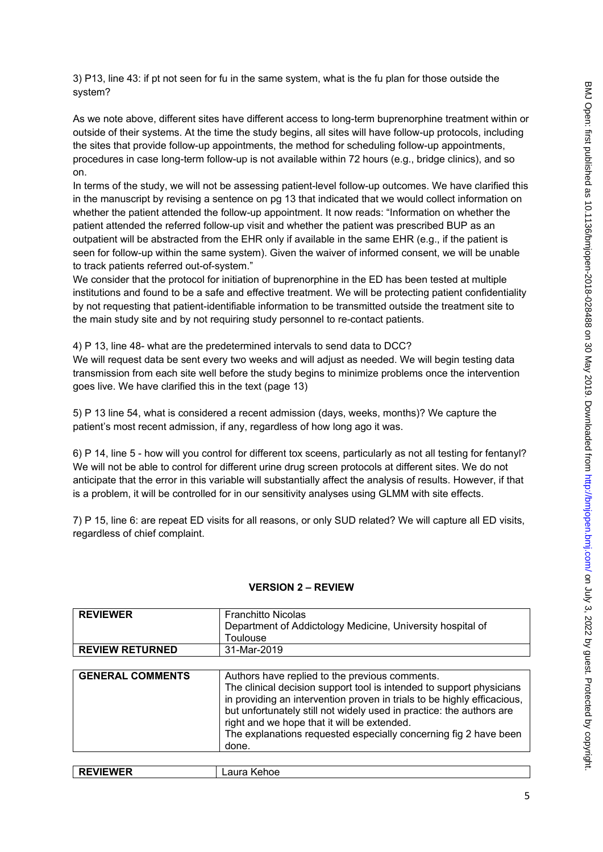3) P13, line 43: if pt not seen for fu in the same system, what is the fu plan for those outside the system?

As we note above, different sites have different access to long-term buprenorphine treatment within or outside of their systems. At the time the study begins, all sites will have follow-up protocols, including the sites that provide follow-up appointments, the method for scheduling follow-up appointments, procedures in case long-term follow-up is not available within 72 hours (e.g., bridge clinics), and so on.

In terms of the study, we will not be assessing patient-level follow-up outcomes. We have clarified this in the manuscript by revising a sentence on pg 13 that indicated that we would collect information on whether the patient attended the follow-up appointment. It now reads: "Information on whether the patient attended the referred follow-up visit and whether the patient was prescribed BUP as an outpatient will be abstracted from the EHR only if available in the same EHR (e.g., if the patient is seen for follow-up within the same system). Given the waiver of informed consent, we will be unable to track patients referred out-of-system."

We consider that the protocol for initiation of buprenorphine in the ED has been tested at multiple institutions and found to be a safe and effective treatment. We will be protecting patient confidentiality by not requesting that patient-identifiable information to be transmitted outside the treatment site to the main study site and by not requiring study personnel to re-contact patients.

4) P 13, line 48- what are the predetermined intervals to send data to DCC? We will request data be sent every two weeks and will adjust as needed. We will begin testing data transmission from each site well before the study begins to minimize problems once the intervention goes live. We have clarified this in the text (page 13)

5) P 13 line 54, what is considered a recent admission (days, weeks, months)? We capture the patient's most recent admission, if any, regardless of how long ago it was.

6) P 14, line 5 - how will you control for different tox sceens, particularly as not all testing for fentanyl? We will not be able to control for different urine drug screen protocols at different sites. We do not anticipate that the error in this variable will substantially affect the analysis of results. However, if that is a problem, it will be controlled for in our sensitivity analyses using GLMM with site effects.

7) P 15, line 6: are repeat ED visits for all reasons, or only SUD related? We will capture all ED visits, regardless of chief complaint.

#### **VERSION 2 – REVIEW**

| <b>REVIEWER</b>         | <b>Franchitto Nicolas</b>                                                                                                                                                                                                                                                                                                                           |
|-------------------------|-----------------------------------------------------------------------------------------------------------------------------------------------------------------------------------------------------------------------------------------------------------------------------------------------------------------------------------------------------|
|                         | Department of Addictology Medicine, University hospital of                                                                                                                                                                                                                                                                                          |
|                         | Toulouse                                                                                                                                                                                                                                                                                                                                            |
| <b>REVIEW RETURNED</b>  | 31-Mar-2019                                                                                                                                                                                                                                                                                                                                         |
|                         |                                                                                                                                                                                                                                                                                                                                                     |
| <b>GENERAL COMMENTS</b> | Authors have replied to the previous comments.                                                                                                                                                                                                                                                                                                      |
|                         | The clinical decision support tool is intended to support physicians<br>in providing an intervention proven in trials to be highly efficacious,<br>but unfortunately still not widely used in practice: the authors are<br>right and we hope that it will be extended.<br>The explanations requested especially concerning fig 2 have been<br>done. |
|                         |                                                                                                                                                                                                                                                                                                                                                     |
| <b>REVIEWER</b>         | Laura Kehoe                                                                                                                                                                                                                                                                                                                                         |

| I<br>۰.<br>v | I |  |
|--------------|---|--|